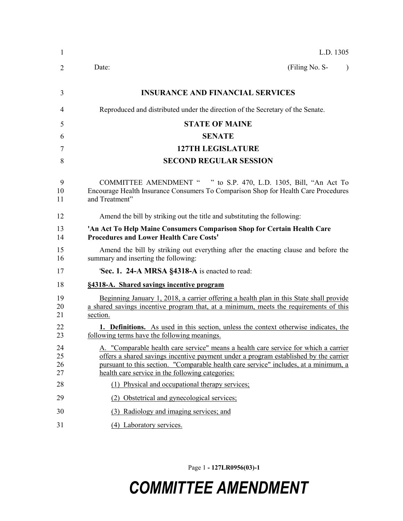| 1                    | L.D. 1305                                                                                                                                                                                                                                                                                                               |  |
|----------------------|-------------------------------------------------------------------------------------------------------------------------------------------------------------------------------------------------------------------------------------------------------------------------------------------------------------------------|--|
| 2                    | (Filing No. S-<br>Date:                                                                                                                                                                                                                                                                                                 |  |
| 3                    | <b>INSURANCE AND FINANCIAL SERVICES</b>                                                                                                                                                                                                                                                                                 |  |
| 4                    | Reproduced and distributed under the direction of the Secretary of the Senate.                                                                                                                                                                                                                                          |  |
| 5                    | <b>STATE OF MAINE</b>                                                                                                                                                                                                                                                                                                   |  |
| 6                    | <b>SENATE</b>                                                                                                                                                                                                                                                                                                           |  |
| 7                    | <b>127TH LEGISLATURE</b>                                                                                                                                                                                                                                                                                                |  |
| 8                    | <b>SECOND REGULAR SESSION</b>                                                                                                                                                                                                                                                                                           |  |
| 9<br>10<br>11        | COMMITTEE AMENDMENT " " to S.P. 470, L.D. 1305, Bill, "An Act To<br>Encourage Health Insurance Consumers To Comparison Shop for Health Care Procedures<br>and Treatment"                                                                                                                                                |  |
| 12                   | Amend the bill by striking out the title and substituting the following:                                                                                                                                                                                                                                                |  |
| 13<br>14             | 'An Act To Help Maine Consumers Comparison Shop for Certain Health Care<br><b>Procedures and Lower Health Care Costs'</b>                                                                                                                                                                                               |  |
| 15<br>16             | Amend the bill by striking out everything after the enacting clause and before the<br>summary and inserting the following:                                                                                                                                                                                              |  |
| 17                   | 'Sec. 1. 24-A MRSA §4318-A is enacted to read:                                                                                                                                                                                                                                                                          |  |
| 18                   | §4318-A. Shared savings incentive program                                                                                                                                                                                                                                                                               |  |
| 19<br>20<br>21       | Beginning January 1, 2018, a carrier offering a health plan in this State shall provide<br>a shared savings incentive program that, at a minimum, meets the requirements of this<br>section.                                                                                                                            |  |
| 22<br>23             | <b>1. Definitions.</b> As used in this section, unless the context otherwise indicates, the<br>following terms have the following meanings.                                                                                                                                                                             |  |
| 24<br>25<br>26<br>27 | A. "Comparable health care service" means a health care service for which a carrier<br>offers a shared savings incentive payment under a program established by the carrier<br>pursuant to this section. "Comparable health care service" includes, at a minimum, a<br>health care service in the following categories: |  |
| 28                   | (1) Physical and occupational therapy services;                                                                                                                                                                                                                                                                         |  |
| 29                   | (2) Obstetrical and gynecological services;                                                                                                                                                                                                                                                                             |  |
| 30                   | (3) Radiology and imaging services; and                                                                                                                                                                                                                                                                                 |  |
| 31                   | (4) Laboratory services.                                                                                                                                                                                                                                                                                                |  |

Page 1 **- 127LR0956(03)-1**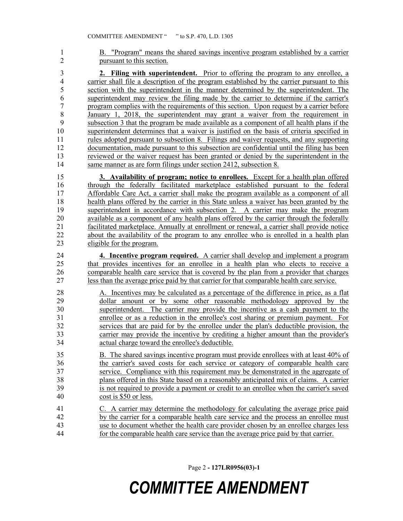B. "Program" means the shared savings incentive program established by a carrier pursuant to this section.

 **2. Filing with superintendent.** Prior to offering the program to any enrollee, a carrier shall file a description of the program established by the carrier pursuant to this section with the superintendent in the manner determined by the superintendent. The superintendent may review the filing made by the carrier to determine if the carrier's program complies with the requirements of this section. Upon request by a carrier before January 1, 2018, the superintendent may grant a waiver from the requirement in subsection 3 that the program be made available as a component of all health plans if the superintendent determines that a waiver is justified on the basis of criteria specified in rules adopted pursuant to subsection 8. Filings and waiver requests, and any supporting documentation, made pursuant to this subsection are confidential until the filing has been reviewed or the waiver request has been granted or denied by the superintendent in the same manner as are form filings under section 2412, subsection 8.

 **3. Availability of program; notice to enrollees.** Except for a health plan offered through the federally facilitated marketplace established pursuant to the federal Affordable Care Act, a carrier shall make the program available as a component of all 18 health plans offered by the carrier in this State unless a waiver has been granted by the superintendent in accordance with subsection 2. A carrier may make the program available as a component of any health plans offered by the carrier through the federally facilitated marketplace. Annually at enrollment or renewal, a carrier shall provide notice 22 about the availability of the program to any enrollee who is enrolled in a health plan<br>23 eligible for the program. eligible for the program.

 **4. Incentive program required.** A carrier shall develop and implement a program 25 that provides incentives for an enrollee in a health plan who elects to receive a 26 comparable health care service that is covered by the plan from a provider that charges less than the average price paid by that carrier for that comparable health care service.

 A. Incentives may be calculated as a percentage of the difference in price, as a flat dollar amount or by some other reasonable methodology approved by the superintendent. The carrier may provide the incentive as a cash payment to the enrollee or as a reduction in the enrollee's cost sharing or premium payment. For services that are paid for by the enrollee under the plan's deductible provision, the carrier may provide the incentive by crediting a higher amount than the provider's actual charge toward the enrollee's deductible.

 B. The shared savings incentive program must provide enrollees with at least 40% of the carrier's saved costs for each service or category of comparable health care service. Compliance with this requirement may be demonstrated in the aggregate of plans offered in this State based on a reasonably anticipated mix of claims. A carrier is not required to provide a payment or credit to an enrollee when the carrier's saved cost is \$50 or less.

 C. A carrier may determine the methodology for calculating the average price paid by the carrier for a comparable health care service and the process an enrollee must use to document whether the health care provider chosen by an enrollee charges less for the comparable health care service than the average price paid by that carrier.

Page 2 **- 127LR0956(03)-1**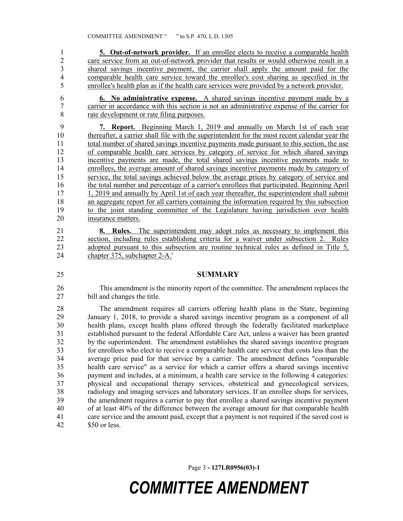**5. Out-of-network provider.** If an enrollee elects to receive a comparable health 2 care service from an out-of-network provider that results or would otherwise result in a shared savings incentive payment, the carrier shall apply the amount paid for the comparable health care service toward the enrollee's cost sharing as specified in the enrollee's health plan as if the health care services were provided by a network provider.

 **6. No administrative expense.** A shared savings incentive payment made by a carrier in accordance with this section is not an administrative expense of the carrier for rate development or rate filing purposes.

 **7. Report.** Beginning March 1, 2019 and annually on March 1st of each year thereafter, a carrier shall file with the superintendent for the most recent calendar year the 11 total number of shared savings incentive payments made pursuant to this section, the use of comparable health care services by category of service for which shared savings incentive payments are made, the total shared savings incentive payments made to enrollees, the average amount of shared savings incentive payments made by category of 15 service, the total savings achieved below the average prices by category of service and the total number and percentage of a carrier's enrollees that participated. Beginning April 17 1, 2019 and annually by April 1st of each year thereafter, the superintendent shall submit an aggregate report for all carriers containing the information required by this subsection to the joint standing committee of the Legislature having jurisdiction over health insurance matters.

 **8. Rules.** The superintendent may adopt rules as necessary to implement this section, including rules establishing criteria for a waiver under subsection 2. Rules adopted pursuant to this subsection are routine technical rules as defined in Title 5, chapter 375, subchapter 2-A.'

### **SUMMARY**

 This amendment is the minority report of the committee. The amendment replaces the bill and changes the title.

 The amendment requires all carriers offering health plans in the State, beginning January 1, 2018, to provide a shared savings incentive program as a component of all health plans, except health plans offered through the federally facilitated marketplace established pursuant to the federal Affordable Care Act, unless a waiver has been granted by the superintendent. The amendment establishes the shared savings incentive program for enrollees who elect to receive a comparable health care service that costs less than the average price paid for that service by a carrier. The amendment defines "comparable health care service" as a service for which a carrier offers a shared savings incentive payment and includes, at a minimum, a health care service in the following 4 categories: physical and occupational therapy services, obstetrical and gynecological services, radiology and imaging services and laboratory services. If an enrollee shops for services, the amendment requires a carrier to pay that enrollee a shared savings incentive payment of at least 40% of the difference between the average amount for that comparable health care service and the amount paid, except that a payment is not required if the saved cost is \$50 or less.

Page 3 **- 127LR0956(03)-1**